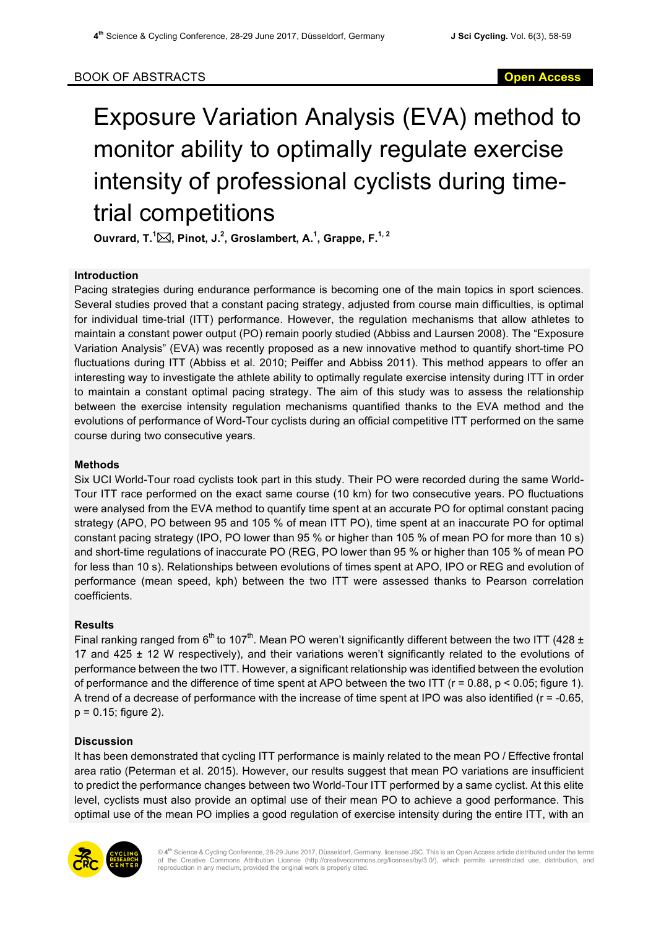# Exposure Variation Analysis (EVA) method to monitor ability to optimally regulate exercise intensity of professional cyclists during timetrial competitions

**Ouvrard, T.<sup>1</sup>** \***, Pinot, J.<sup>2</sup> , Groslambert, A.<sup>1</sup> , Grappe, F.1, 2**

### **Introduction**

Pacing strategies during endurance performance is becoming one of the main topics in sport sciences. Several studies proved that a constant pacing strategy, adjusted from course main difficulties, is optimal for individual time-trial (ITT) performance. However, the regulation mechanisms that allow athletes to maintain a constant power output (PO) remain poorly studied (Abbiss and Laursen 2008). The "Exposure Variation Analysis" (EVA) was recently proposed as a new innovative method to quantify short-time PO fluctuations during ITT (Abbiss et al. 2010; Peiffer and Abbiss 2011). This method appears to offer an interesting way to investigate the athlete ability to optimally regulate exercise intensity during ITT in order to maintain a constant optimal pacing strategy. The aim of this study was to assess the relationship between the exercise intensity regulation mechanisms quantified thanks to the EVA method and the evolutions of performance of Word-Tour cyclists during an official competitive ITT performed on the same course during two consecutive years.

## **Methods**

Six UCI World-Tour road cyclists took part in this study. Their PO were recorded during the same World-Tour ITT race performed on the exact same course (10 km) for two consecutive years. PO fluctuations were analysed from the EVA method to quantify time spent at an accurate PO for optimal constant pacing strategy (APO, PO between 95 and 105 % of mean ITT PO), time spent at an inaccurate PO for optimal constant pacing strategy (IPO, PO lower than 95 % or higher than 105 % of mean PO for more than 10 s) and short-time regulations of inaccurate PO (REG, PO lower than 95 % or higher than 105 % of mean PO for less than 10 s). Relationships between evolutions of times spent at APO, IPO or REG and evolution of performance (mean speed, kph) between the two ITT were assessed thanks to Pearson correlation coefficients.

### **Results**

Final ranking ranged from  $6^{th}$  to 107<sup>th</sup>. Mean PO weren't significantly different between the two ITT (428  $\pm$ 17 and 425  $\pm$  12 W respectively), and their variations weren't significantly related to the evolutions of performance between the two ITT. However, a significant relationship was identified between the evolution of performance and the difference of time spent at APO between the two ITT ( $r = 0.88$ ,  $p < 0.05$ ; figure 1). A trend of a decrease of performance with the increase of time spent at IPO was also identified (r = -0.65, p = 0.15; figure 2).

### **Discussion**

It has been demonstrated that cycling ITT performance is mainly related to the mean PO / Effective frontal area ratio (Peterman et al. 2015). However, our results suggest that mean PO variations are insufficient to predict the performance changes between two World-Tour ITT performed by a same cyclist. At this elite level, cyclists must also provide an optimal use of their mean PO to achieve a good performance. This optimal use of the mean PO implies a good regulation of exercise intensity during the entire ITT, with an